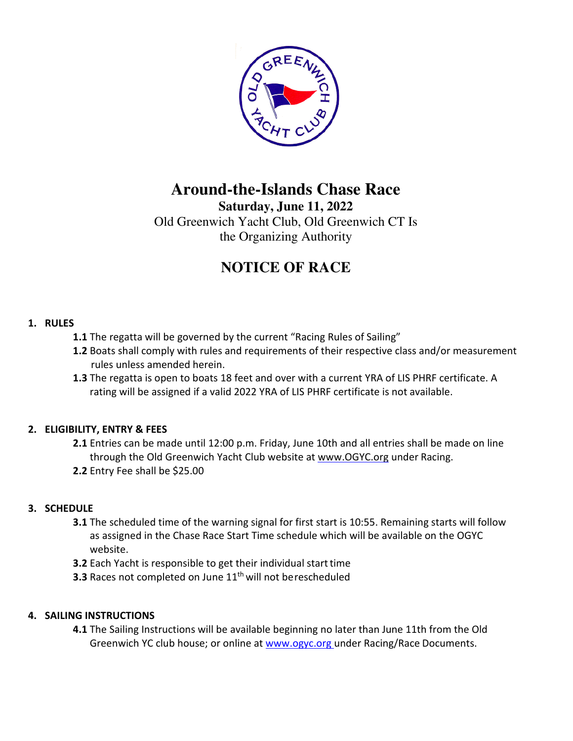

## **Around-the-Islands Chase Race**

**Saturday, June 11, 2022** 

Old Greenwich Yacht Club, Old Greenwich CT Is the Organizing Authority

# **NOTICE OF RACE**

## **1. RULES**

- **1.1** The regatta will be governed by the current "Racing Rules of Sailing"
- **1.2** Boats shall comply with rules and requirements of their respective class and/or measurement rules unless amended herein.
- **1.3** The regatta is open to boats 18 feet and over with a current YRA of LIS PHRF certificate. A rating will be assigned if a valid 2022 YRA of LIS PHRF certificate is not available.

## **2. ELIGIBILITY, ENTRY & FEES**

**2.1** Entries can be made until 12:00 p.m. Friday, June 10th and all entries shall be made on line through the Old Greenwich Yacht Club website at www.OGYC.org under Racing. **2.2** Entry Fee shall be \$25.00

## **3. SCHEDULE**

- **3.1** The scheduled time of the warning signal for first start is 10:55. Remaining starts will follow as assigned in the Chase Race Start Time schedule which will be available on the OGYC website.
- **3.2** Each Yacht is responsible to get their individual start time
- **3.3** Races not completed on June 11<sup>th</sup> will not be rescheduled

#### **4. SAILING INSTRUCTIONS**

**4.1** The Sailing Instructions will be available beginning no later than June 11th from the Old Greenwich YC club house; or online at www.ogyc.org under Racing/Race Documents.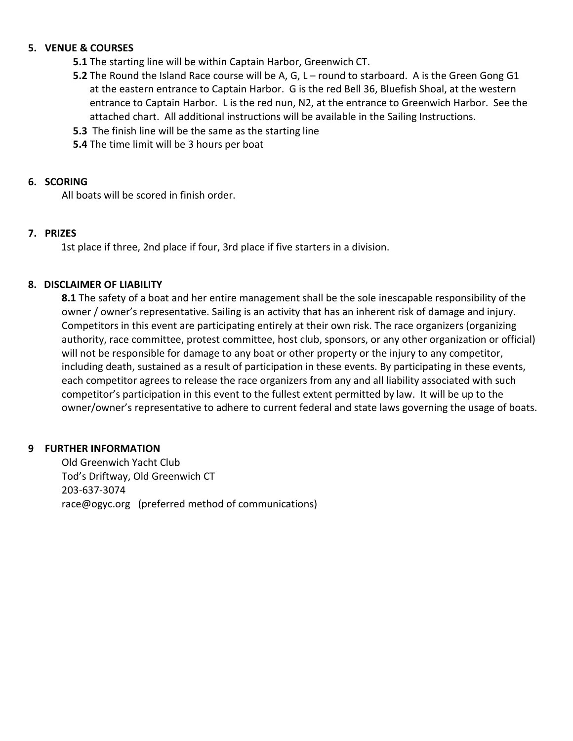#### **5. VENUE & COURSES**

- **5.1** The starting line will be within Captain Harbor, Greenwich CT.
- **5.2** The Round the Island Race course will be A, G, L round to starboard. A is the Green Gong G1 at the eastern entrance to Captain Harbor. G is the red Bell 36, Bluefish Shoal, at the western entrance to Captain Harbor. L is the red nun, N2, at the entrance to Greenwich Harbor. See the attached chart. All additional instructions will be available in the Sailing Instructions.
- **5.3** The finish line will be the same as the starting line
- **5.4** The time limit will be 3 hours per boat

#### **6. SCORING**

All boats will be scored in finish order.

#### **7. PRIZES**

1st place if three, 2nd place if four, 3rd place if five starters in a division.

#### **8. DISCLAIMER OF LIABILITY**

**8.1** The safety of a boat and her entire management shall be the sole inescapable responsibility of the owner / owner's representative. Sailing is an activity that has an inherent risk of damage and injury. Competitors in this event are participating entirely at their own risk. The race organizers (organizing authority, race committee, protest committee, host club, sponsors, or any other organization or official) will not be responsible for damage to any boat or other property or the injury to any competitor, including death, sustained as a result of participation in these events. By participating in these events, each competitor agrees to release the race organizers from any and all liability associated with such competitor's participation in this event to the fullest extent permitted by law. It will be up to the owner/owner's representative to adhere to current federal and state laws governing the usage of boats.

#### **9 FURTHER INFORMATION**

Old Greenwich Yacht Club Tod's Driftway, Old Greenwich CT 203-637-3074 race@ogyc.org (preferred method of communications)